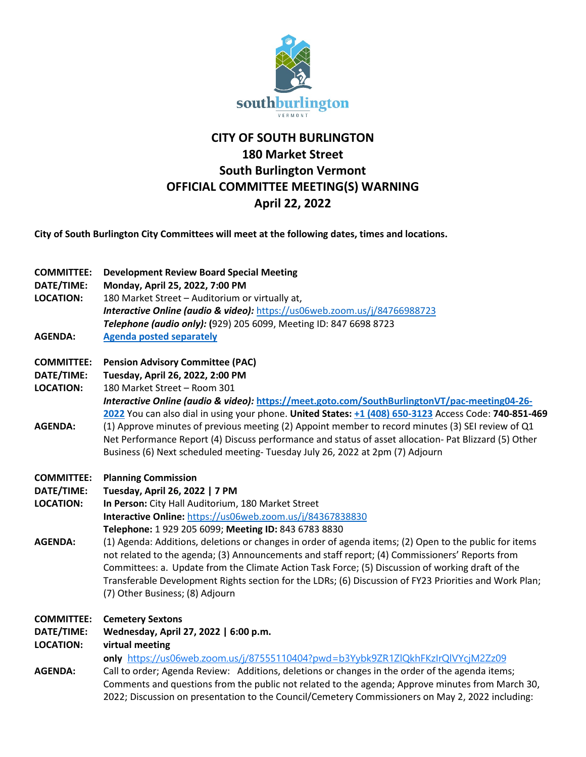

## **CITY OF SOUTH BURLINGTON 180 Market Street South Burlington Vermont OFFICIAL COMMITTEE MEETING(S) WARNING April 22, 2022**

**City of South Burlington City Committees will meet at the following dates, times and locations.** 

| <b>COMMITTEE:</b><br>DATE/TIME:<br><b>LOCATION:</b><br><b>AGENDA:</b> | <b>Development Review Board Special Meeting</b><br>Monday, April 25, 2022, 7:00 PM<br>180 Market Street - Auditorium or virtually at,<br>Interactive Online (audio & video): https://us06web.zoom.us/j/84766988723<br>Telephone (audio only): (929) 205 6099, Meeting ID: 847 6698 8723<br><b>Agenda posted separately</b>                                                                                                                                                                                                                                                                                                                                                                           |
|-----------------------------------------------------------------------|------------------------------------------------------------------------------------------------------------------------------------------------------------------------------------------------------------------------------------------------------------------------------------------------------------------------------------------------------------------------------------------------------------------------------------------------------------------------------------------------------------------------------------------------------------------------------------------------------------------------------------------------------------------------------------------------------|
| <b>COMMITTEE:</b><br>DATE/TIME:<br><b>LOCATION:</b><br><b>AGENDA:</b> | <b>Pension Advisory Committee (PAC)</b><br>Tuesday, April 26, 2022, 2:00 PM<br>180 Market Street - Room 301<br>Interactive Online (audio & video): https://meet.goto.com/SouthBurlingtonVT/pac-meeting04-26-<br>2022 You can also dial in using your phone. United States: +1 (408) 650-3123 Access Code: 740-851-469<br>(1) Approve minutes of previous meeting (2) Appoint member to record minutes (3) SEI review of Q1<br>Net Performance Report (4) Discuss performance and status of asset allocation- Pat Blizzard (5) Other<br>Business (6) Next scheduled meeting- Tuesday July 26, 2022 at 2pm (7) Adjourn                                                                                 |
| <b>COMMITTEE:</b><br>DATE/TIME:<br><b>LOCATION:</b><br><b>AGENDA:</b> | <b>Planning Commission</b><br>Tuesday, April 26, 2022   7 PM<br>In Person: City Hall Auditorium, 180 Market Street<br>Interactive Online: https://us06web.zoom.us/j/84367838830<br>Telephone: 1 929 205 6099; Meeting ID: 843 6783 8830<br>(1) Agenda: Additions, deletions or changes in order of agenda items; (2) Open to the public for items<br>not related to the agenda; (3) Announcements and staff report; (4) Commissioners' Reports from<br>Committees: a. Update from the Climate Action Task Force; (5) Discussion of working draft of the<br>Transferable Development Rights section for the LDRs; (6) Discussion of FY23 Priorities and Work Plan;<br>(7) Other Business; (8) Adjourn |
| <b>COMMITTEE:</b><br>DATE/TIME:<br><b>LOCATION:</b><br><b>AGENDA:</b> | <b>Cemetery Sextons</b><br>Wednesday, April 27, 2022   6:00 p.m.<br>virtual meeting<br>only https://us06web.zoom.us/j/87555110404?pwd=b3Yybk9ZR1ZIQkhFKzIrQIVYcjM2Zz09<br>Call to order; Agenda Review: Additions, deletions or changes in the order of the agenda items;<br>Comments and questions from the public not related to the agenda; Approve minutes from March 30,<br>2022; Discussion on presentation to the Council/Cemetery Commissioners on May 2, 2022 including:                                                                                                                                                                                                                    |